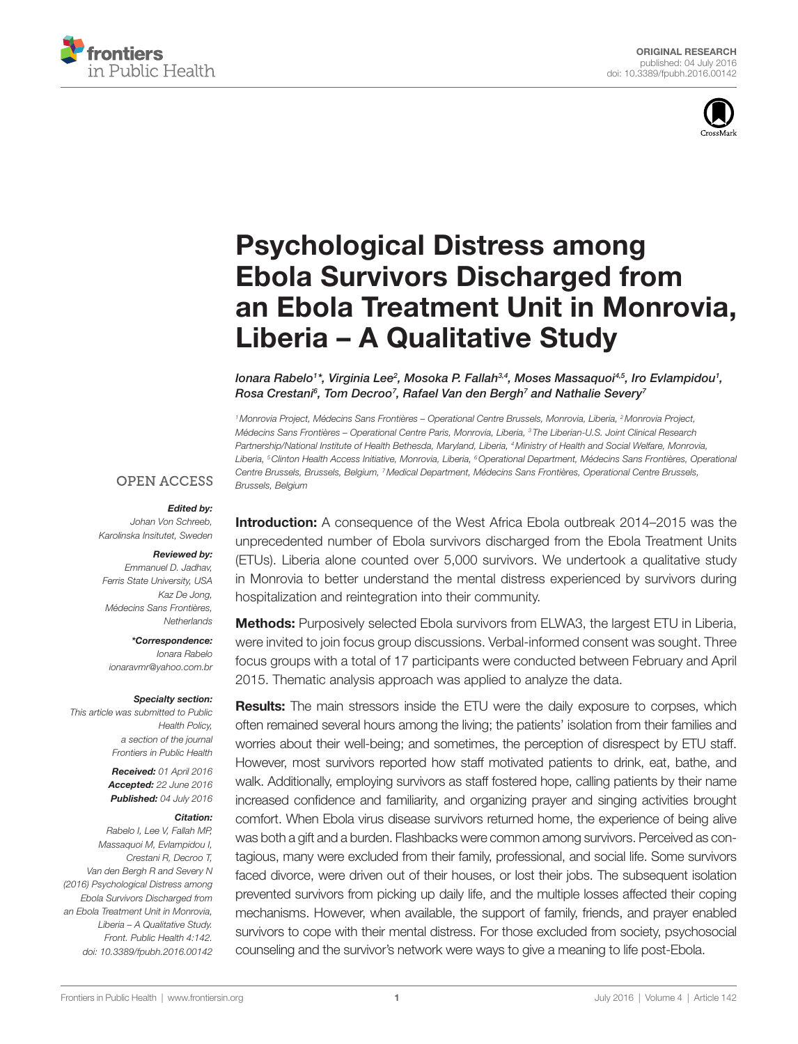



# [Psychological Distress among](http://www.frontiersin.org/Journal/10.3389/fpubh.2016.00142/abstract)  [Ebola Survivors Discharged from](http://www.frontiersin.org/Journal/10.3389/fpubh.2016.00142/abstract)  [an Ebola Treatment Unit in Monrovia,](http://www.frontiersin.org/Journal/10.3389/fpubh.2016.00142/abstract)  [Liberia – A Qualitative Study](http://www.frontiersin.org/Journal/10.3389/fpubh.2016.00142/abstract)

*Ionara Rabelo1 \*, Virginia Lee2 , Mosoka P. Fallah3,4, Moses Massaquoi4,5, Iro Evlampidou1 , Rosa Crestani6 , [Tom Decroo7](http://loop.frontiersin.org/people/338747/overview) , Rafael Van den Bergh7 and Nathalie Severy7*

*1Monrovia Project, Médecins Sans Frontières – Operational Centre Brussels, Monrovia, Liberia, 2Monrovia Project, Médecins Sans Frontières – Operational Centre Paris, Monrovia, Liberia, 3 The Liberian-U.S. Joint Clinical Research Partnership/National Institute of Health Bethesda, Maryland, Liberia, 4Ministry of Health and Social Welfare, Monrovia, Liberia, 5Clinton Health Access Initiative, Monrovia, Liberia, 6Operational Department, Médecins Sans Frontières, Operational Centre Brussels, Brussels, Belgium, 7Medical Department, Médecins Sans Frontières, Operational Centre Brussels, Brussels, Belgium*

#### **OPEN ACCESS**

#### *Edited by:*

*Johan Von Schreeb, Karolinska Insitutet, Sweden*

# *Reviewed by:*

*Emmanuel D. Jadhav, Ferris State University, USA Kaz De Jong, Médecins Sans Frontières, Netherlands*

#### *\*Correspondence:*

*Ionara Rabelo [ionaravmr@yahoo.com.br](mailto:ionaravmr@yahoo.com.br)*

#### *Specialty section:*

*This article was submitted to Public Health Policy, a section of the journal Frontiers in Public Health*

> *Received: 01 April 2016 Accepted: 22 June 2016 Published: 04 July 2016*

#### *Citation:*

*Rabelo I, Lee V, Fallah MP, Massaquoi M, Evlampidou I, Crestani R, Decroo T, Van den Bergh R and Severy N (2016) Psychological Distress among Ebola Survivors Discharged from an Ebola Treatment Unit in Monrovia, Liberia – A Qualitative Study. Front. Public Health 4:142. doi: [10.3389/fpubh.2016.00142](http://dx.doi.org/10.3389/fpubh.2016.00142)*

Introduction: A consequence of the West Africa Ebola outbreak 2014–2015 was the unprecedented number of Ebola survivors discharged from the Ebola Treatment Units (ETUs). Liberia alone counted over 5,000 survivors. We undertook a qualitative study in Monrovia to better understand the mental distress experienced by survivors during hospitalization and reintegration into their community.

Methods: Purposively selected Ebola survivors from ELWA3, the largest ETU in Liberia, were invited to join focus group discussions. Verbal-informed consent was sought. Three focus groups with a total of 17 participants were conducted between February and April 2015. Thematic analysis approach was applied to analyze the data.

**Results:** The main stressors inside the ETU were the daily exposure to corpses, which often remained several hours among the living; the patients' isolation from their families and worries about their well-being; and sometimes, the perception of disrespect by ETU staff. However, most survivors reported how staff motivated patients to drink, eat, bathe, and walk. Additionally, employing survivors as staff fostered hope, calling patients by their name increased confidence and familiarity, and organizing prayer and singing activities brought comfort. When Ebola virus disease survivors returned home, the experience of being alive was both a gift and a burden. Flashbacks were common among survivors. Perceived as contagious, many were excluded from their family, professional, and social life. Some survivors faced divorce, were driven out of their houses, or lost their jobs. The subsequent isolation prevented survivors from picking up daily life, and the multiple losses affected their coping mechanisms. However, when available, the support of family, friends, and prayer enabled survivors to cope with their mental distress. For those excluded from society, psychosocial counseling and the survivor's network were ways to give a meaning to life post-Ebola.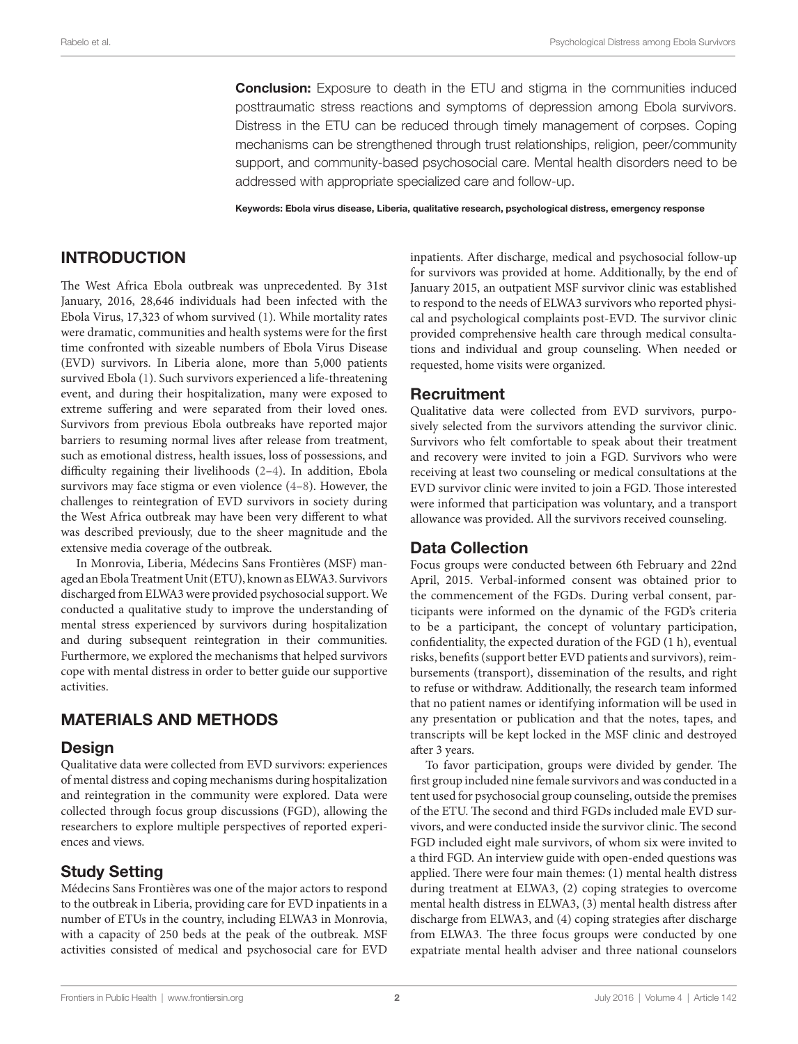**Conclusion:** Exposure to death in the ETU and stigma in the communities induced posttraumatic stress reactions and symptoms of depression among Ebola survivors. Distress in the ETU can be reduced through timely management of corpses. Coping mechanisms can be strengthened through trust relationships, religion, peer/community support, and community-based psychosocial care. Mental health disorders need to be addressed with appropriate specialized care and follow-up.

Keywords: Ebola virus disease, Liberia, qualitative research, psychological distress, emergency response

### INTRODUCTION

The West Africa Ebola outbreak was unprecedented. By 31st January, 2016, 28,646 individuals had been infected with the Ebola Virus, 17,323 of whom survived ([1\)](#page-5-0). While mortality rates were dramatic, communities and health systems were for the first time confronted with sizeable numbers of Ebola Virus Disease (EVD) survivors. In Liberia alone, more than 5,000 patients survived Ebola ([1](#page-5-0)). Such survivors experienced a life-threatening event, and during their hospitalization, many were exposed to extreme suffering and were separated from their loved ones. Survivors from previous Ebola outbreaks have reported major barriers to resuming normal lives after release from treatment, such as emotional distress, health issues, loss of possessions, and difficulty regaining their livelihoods ([2](#page-5-1)[–4\)](#page-5-2). In addition, Ebola survivors may face stigma or even violence [\(4](#page-5-2)–[8\)](#page-5-3). However, the challenges to reintegration of EVD survivors in society during the West Africa outbreak may have been very different to what was described previously, due to the sheer magnitude and the extensive media coverage of the outbreak.

In Monrovia, Liberia, Médecins Sans Frontières (MSF) managed an Ebola Treatment Unit (ETU), known as ELWA3. Survivors discharged from ELWA3 were provided psychosocial support. We conducted a qualitative study to improve the understanding of mental stress experienced by survivors during hospitalization and during subsequent reintegration in their communities. Furthermore, we explored the mechanisms that helped survivors cope with mental distress in order to better guide our supportive activities.

## MATERIALS AND METHODS

### Design

Qualitative data were collected from EVD survivors: experiences of mental distress and coping mechanisms during hospitalization and reintegration in the community were explored. Data were collected through focus group discussions (FGD), allowing the researchers to explore multiple perspectives of reported experiences and views.

### Study Setting

Médecins Sans Frontières was one of the major actors to respond to the outbreak in Liberia, providing care for EVD inpatients in a number of ETUs in the country, including ELWA3 in Monrovia, with a capacity of 250 beds at the peak of the outbreak. MSF activities consisted of medical and psychosocial care for EVD inpatients. After discharge, medical and psychosocial follow-up for survivors was provided at home. Additionally, by the end of January 2015, an outpatient MSF survivor clinic was established to respond to the needs of ELWA3 survivors who reported physical and psychological complaints post-EVD. The survivor clinic provided comprehensive health care through medical consultations and individual and group counseling. When needed or requested, home visits were organized.

### Recruitment

Qualitative data were collected from EVD survivors, purposively selected from the survivors attending the survivor clinic. Survivors who felt comfortable to speak about their treatment and recovery were invited to join a FGD. Survivors who were receiving at least two counseling or medical consultations at the EVD survivor clinic were invited to join a FGD. Those interested were informed that participation was voluntary, and a transport allowance was provided. All the survivors received counseling.

### Data Collection

Focus groups were conducted between 6th February and 22nd April, 2015. Verbal-informed consent was obtained prior to the commencement of the FGDs. During verbal consent, participants were informed on the dynamic of the FGD's criteria to be a participant, the concept of voluntary participation, confidentiality, the expected duration of the FGD (1 h), eventual risks, benefits (support better EVD patients and survivors), reimbursements (transport), dissemination of the results, and right to refuse or withdraw. Additionally, the research team informed that no patient names or identifying information will be used in any presentation or publication and that the notes, tapes, and transcripts will be kept locked in the MSF clinic and destroyed after 3 years.

To favor participation, groups were divided by gender. The first group included nine female survivors and was conducted in a tent used for psychosocial group counseling, outside the premises of the ETU. The second and third FGDs included male EVD survivors, and were conducted inside the survivor clinic. The second FGD included eight male survivors, of whom six were invited to a third FGD. An interview guide with open-ended questions was applied. There were four main themes: (1) mental health distress during treatment at ELWA3, (2) coping strategies to overcome mental health distress in ELWA3, (3) mental health distress after discharge from ELWA3, and (4) coping strategies after discharge from ELWA3. The three focus groups were conducted by one expatriate mental health adviser and three national counselors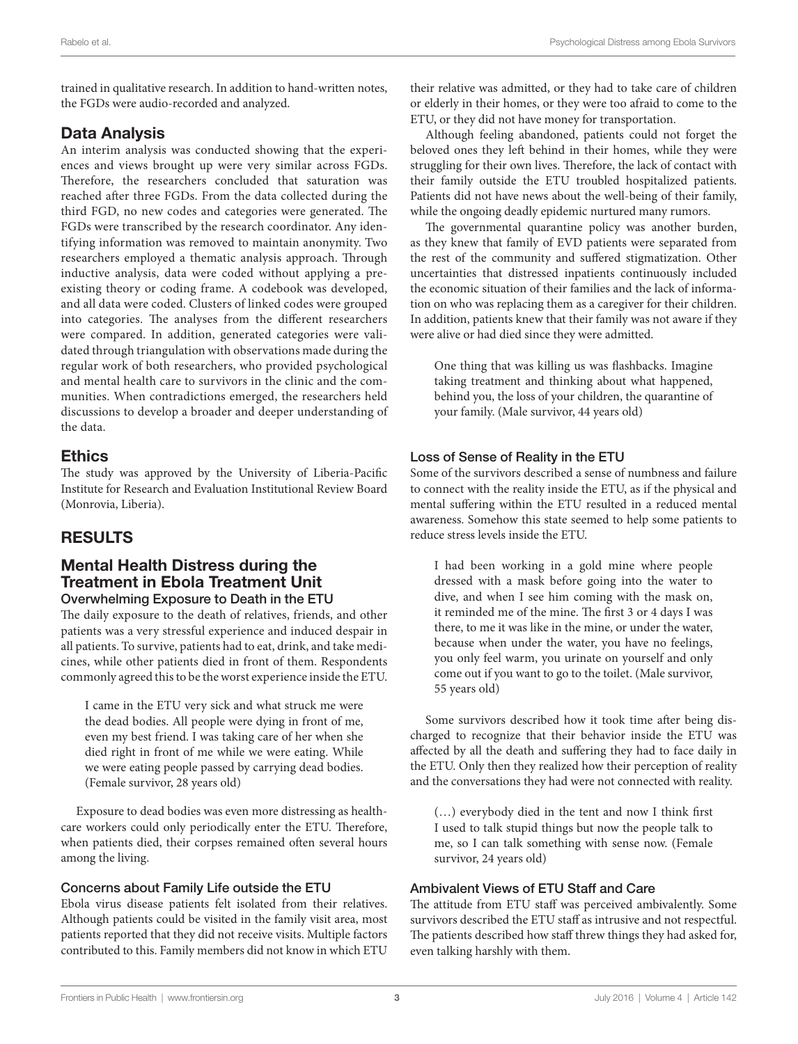trained in qualitative research. In addition to hand-written notes, the FGDs were audio-recorded and analyzed.

### Data Analysis

An interim analysis was conducted showing that the experiences and views brought up were very similar across FGDs. Therefore, the researchers concluded that saturation was reached after three FGDs. From the data collected during the third FGD, no new codes and categories were generated. The FGDs were transcribed by the research coordinator. Any identifying information was removed to maintain anonymity. Two researchers employed a thematic analysis approach. Through inductive analysis, data were coded without applying a preexisting theory or coding frame. A codebook was developed, and all data were coded. Clusters of linked codes were grouped into categories. The analyses from the different researchers were compared. In addition, generated categories were validated through triangulation with observations made during the regular work of both researchers, who provided psychological and mental health care to survivors in the clinic and the communities. When contradictions emerged, the researchers held discussions to develop a broader and deeper understanding of the data.

### **Ethics**

The study was approved by the University of Liberia-Pacific Institute for Research and Evaluation Institutional Review Board (Monrovia, Liberia).

# RESULTS

### Mental Health Distress during the Treatment in Ebola Treatment Unit Overwhelming Exposure to Death in the ETU

The daily exposure to the death of relatives, friends, and other patients was a very stressful experience and induced despair in all patients. To survive, patients had to eat, drink, and take medicines, while other patients died in front of them. Respondents commonly agreed this to be the worst experience inside the ETU.

I came in the ETU very sick and what struck me were the dead bodies. All people were dying in front of me, even my best friend. I was taking care of her when she died right in front of me while we were eating. While we were eating people passed by carrying dead bodies. (Female survivor, 28 years old)

Exposure to dead bodies was even more distressing as healthcare workers could only periodically enter the ETU. Therefore, when patients died, their corpses remained often several hours among the living.

### Concerns about Family Life outside the ETU

Ebola virus disease patients felt isolated from their relatives. Although patients could be visited in the family visit area, most patients reported that they did not receive visits. Multiple factors contributed to this. Family members did not know in which ETU

their relative was admitted, or they had to take care of children or elderly in their homes, or they were too afraid to come to the ETU, or they did not have money for transportation.

Although feeling abandoned, patients could not forget the beloved ones they left behind in their homes, while they were struggling for their own lives. Therefore, the lack of contact with their family outside the ETU troubled hospitalized patients. Patients did not have news about the well-being of their family, while the ongoing deadly epidemic nurtured many rumors.

The governmental quarantine policy was another burden, as they knew that family of EVD patients were separated from the rest of the community and suffered stigmatization. Other uncertainties that distressed inpatients continuously included the economic situation of their families and the lack of information on who was replacing them as a caregiver for their children. In addition, patients knew that their family was not aware if they were alive or had died since they were admitted.

One thing that was killing us was flashbacks. Imagine taking treatment and thinking about what happened, behind you, the loss of your children, the quarantine of your family. (Male survivor, 44 years old)

### Loss of Sense of Reality in the ETU

Some of the survivors described a sense of numbness and failure to connect with the reality inside the ETU, as if the physical and mental suffering within the ETU resulted in a reduced mental awareness. Somehow this state seemed to help some patients to reduce stress levels inside the ETU.

I had been working in a gold mine where people dressed with a mask before going into the water to dive, and when I see him coming with the mask on, it reminded me of the mine. The first 3 or 4 days I was there, to me it was like in the mine, or under the water, because when under the water, you have no feelings, you only feel warm, you urinate on yourself and only come out if you want to go to the toilet. (Male survivor, 55 years old)

Some survivors described how it took time after being discharged to recognize that their behavior inside the ETU was affected by all the death and suffering they had to face daily in the ETU. Only then they realized how their perception of reality and the conversations they had were not connected with reality.

(…) everybody died in the tent and now I think first I used to talk stupid things but now the people talk to me, so I can talk something with sense now. (Female survivor, 24 years old)

#### Ambivalent Views of ETU Staff and Care

The attitude from ETU staff was perceived ambivalently. Some survivors described the ETU staff as intrusive and not respectful. The patients described how staff threw things they had asked for, even talking harshly with them.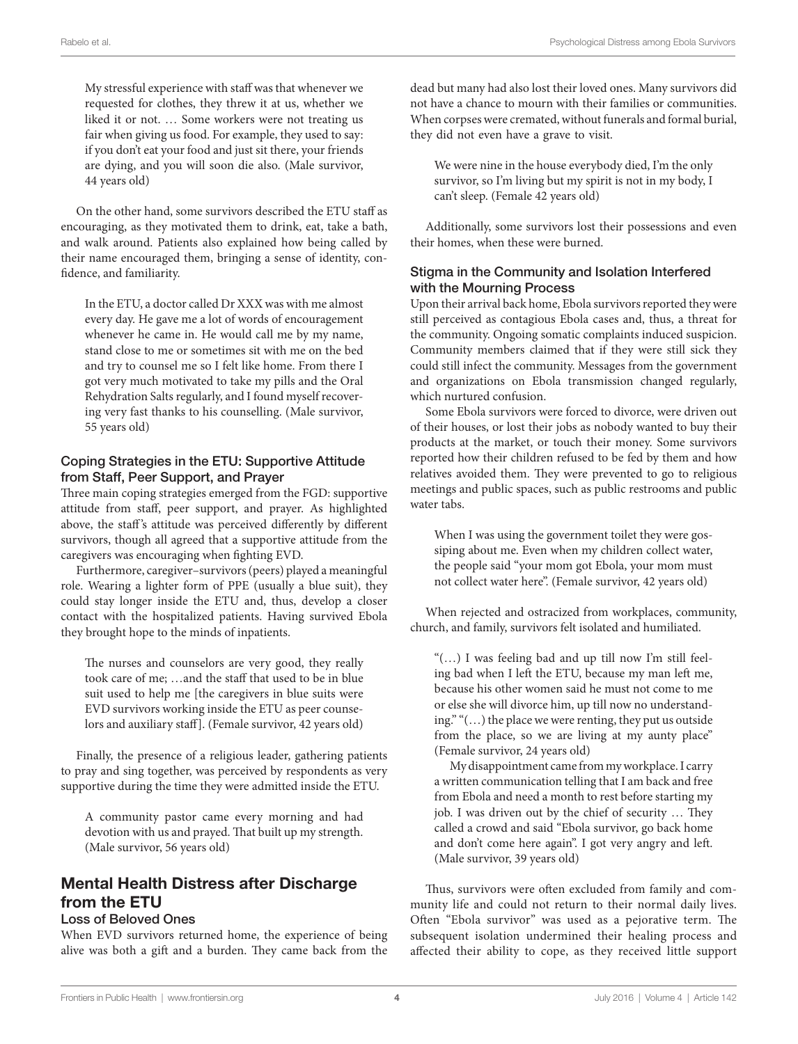My stressful experience with staff was that whenever we requested for clothes, they threw it at us, whether we liked it or not. … Some workers were not treating us fair when giving us food. For example, they used to say: if you don't eat your food and just sit there, your friends are dying, and you will soon die also. (Male survivor, 44 years old)

On the other hand, some survivors described the ETU staff as encouraging, as they motivated them to drink, eat, take a bath, and walk around. Patients also explained how being called by their name encouraged them, bringing a sense of identity, confidence, and familiarity.

In the ETU, a doctor called Dr XXX was with me almost every day. He gave me a lot of words of encouragement whenever he came in. He would call me by my name, stand close to me or sometimes sit with me on the bed and try to counsel me so I felt like home. From there I got very much motivated to take my pills and the Oral Rehydration Salts regularly, and I found myself recovering very fast thanks to his counselling. (Male survivor, 55 years old)

### Coping Strategies in the ETU: Supportive Attitude from Staff, Peer Support, and Prayer

Three main coping strategies emerged from the FGD: supportive attitude from staff, peer support, and prayer. As highlighted above, the staff's attitude was perceived differently by different survivors, though all agreed that a supportive attitude from the caregivers was encouraging when fighting EVD.

Furthermore, caregiver–survivors (peers) played a meaningful role. Wearing a lighter form of PPE (usually a blue suit), they could stay longer inside the ETU and, thus, develop a closer contact with the hospitalized patients. Having survived Ebola they brought hope to the minds of inpatients.

The nurses and counselors are very good, they really took care of me; …and the staff that used to be in blue suit used to help me [the caregivers in blue suits were EVD survivors working inside the ETU as peer counselors and auxiliary staff]. (Female survivor, 42 years old)

Finally, the presence of a religious leader, gathering patients to pray and sing together, was perceived by respondents as very supportive during the time they were admitted inside the ETU.

A community pastor came every morning and had devotion with us and prayed. That built up my strength. (Male survivor, 56 years old)

# Mental Health Distress after Discharge from the ETU

#### Loss of Beloved Ones

When EVD survivors returned home, the experience of being alive was both a gift and a burden. They came back from the

dead but many had also lost their loved ones. Many survivors did not have a chance to mourn with their families or communities. When corpses were cremated, without funerals and formal burial, they did not even have a grave to visit.

We were nine in the house everybody died, I'm the only survivor, so I'm living but my spirit is not in my body, I can't sleep. (Female 42 years old)

Additionally, some survivors lost their possessions and even their homes, when these were burned.

### Stigma in the Community and Isolation Interfered with the Mourning Process

Upon their arrival back home, Ebola survivors reported they were still perceived as contagious Ebola cases and, thus, a threat for the community. Ongoing somatic complaints induced suspicion. Community members claimed that if they were still sick they could still infect the community. Messages from the government and organizations on Ebola transmission changed regularly, which nurtured confusion.

Some Ebola survivors were forced to divorce, were driven out of their houses, or lost their jobs as nobody wanted to buy their products at the market, or touch their money. Some survivors reported how their children refused to be fed by them and how relatives avoided them. They were prevented to go to religious meetings and public spaces, such as public restrooms and public water tabs.

When I was using the government toilet they were gossiping about me. Even when my children collect water, the people said "your mom got Ebola, your mom must not collect water here". (Female survivor, 42 years old)

When rejected and ostracized from workplaces, community, church, and family, survivors felt isolated and humiliated.

"(…) I was feeling bad and up till now I'm still feeling bad when I left the ETU, because my man left me, because his other women said he must not come to me or else she will divorce him, up till now no understanding." "(…) the place we were renting, they put us outside from the place, so we are living at my aunty place" (Female survivor, 24 years old)

My disappointment came from my workplace. I carry a written communication telling that I am back and free from Ebola and need a month to rest before starting my job. I was driven out by the chief of security … They called a crowd and said "Ebola survivor, go back home and don't come here again". I got very angry and left. (Male survivor, 39 years old)

Thus, survivors were often excluded from family and community life and could not return to their normal daily lives. Often "Ebola survivor" was used as a pejorative term. The subsequent isolation undermined their healing process and affected their ability to cope, as they received little support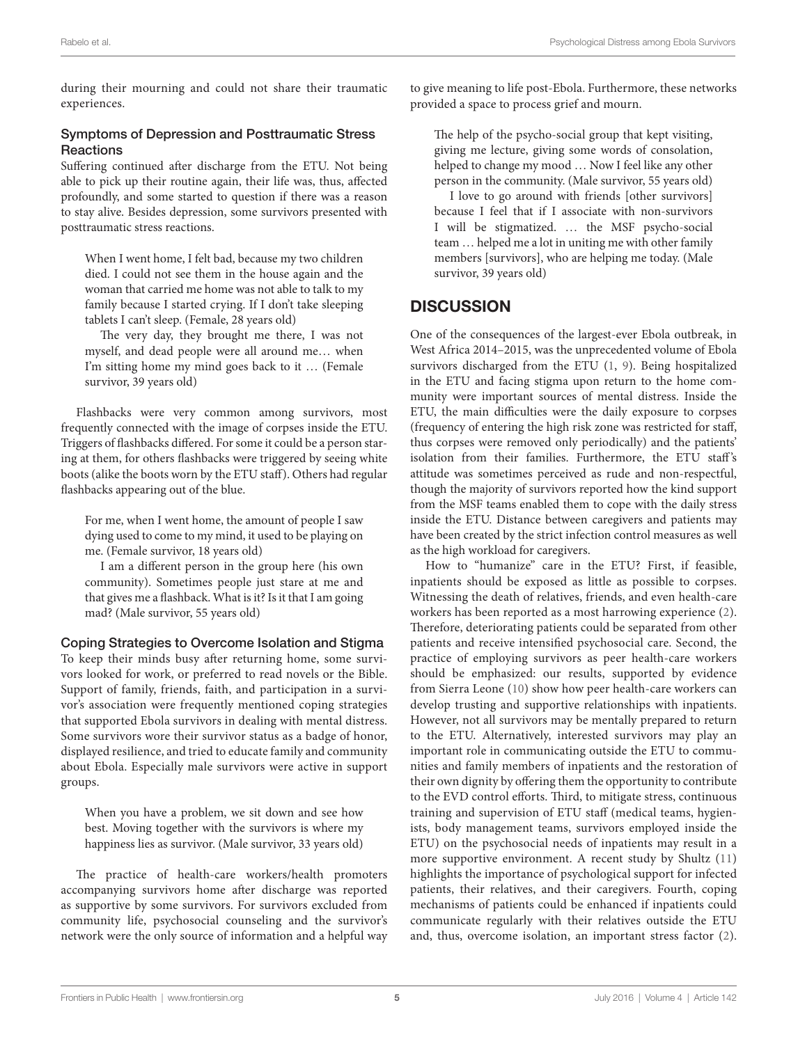during their mourning and could not share their traumatic experiences.

### Symptoms of Depression and Posttraumatic Stress **Reactions**

Suffering continued after discharge from the ETU. Not being able to pick up their routine again, their life was, thus, affected profoundly, and some started to question if there was a reason to stay alive. Besides depression, some survivors presented with posttraumatic stress reactions.

When I went home, I felt bad, because my two children died. I could not see them in the house again and the woman that carried me home was not able to talk to my family because I started crying. If I don't take sleeping tablets I can't sleep. (Female, 28 years old)

The very day, they brought me there, I was not myself, and dead people were all around me… when I'm sitting home my mind goes back to it … (Female survivor, 39 years old)

Flashbacks were very common among survivors, most frequently connected with the image of corpses inside the ETU. Triggers of flashbacks differed. For some it could be a person staring at them, for others flashbacks were triggered by seeing white boots (alike the boots worn by the ETU staff). Others had regular flashbacks appearing out of the blue.

For me, when I went home, the amount of people I saw dying used to come to my mind, it used to be playing on me. (Female survivor, 18 years old)

I am a different person in the group here (his own community). Sometimes people just stare at me and that gives me a flashback. What is it? Is it that I am going mad? (Male survivor, 55 years old)

#### Coping Strategies to Overcome Isolation and Stigma

To keep their minds busy after returning home, some survivors looked for work, or preferred to read novels or the Bible. Support of family, friends, faith, and participation in a survivor's association were frequently mentioned coping strategies that supported Ebola survivors in dealing with mental distress. Some survivors wore their survivor status as a badge of honor, displayed resilience, and tried to educate family and community about Ebola. Especially male survivors were active in support groups.

When you have a problem, we sit down and see how best. Moving together with the survivors is where my happiness lies as survivor. (Male survivor, 33 years old)

The practice of health-care workers/health promoters accompanying survivors home after discharge was reported as supportive by some survivors. For survivors excluded from community life, psychosocial counseling and the survivor's network were the only source of information and a helpful way to give meaning to life post-Ebola. Furthermore, these networks provided a space to process grief and mourn.

The help of the psycho-social group that kept visiting, giving me lecture, giving some words of consolation, helped to change my mood … Now I feel like any other person in the community. (Male survivor, 55 years old)

I love to go around with friends [other survivors] because I feel that if I associate with non-survivors I will be stigmatized. … the MSF psycho-social team … helped me a lot in uniting me with other family members [survivors], who are helping me today. (Male survivor, 39 years old)

### **DISCUSSION**

One of the consequences of the largest-ever Ebola outbreak, in West Africa 2014–2015, was the unprecedented volume of Ebola survivors discharged from the ETU ([1](#page-5-0), [9](#page-5-4)). Being hospitalized in the ETU and facing stigma upon return to the home community were important sources of mental distress. Inside the ETU, the main difficulties were the daily exposure to corpses (frequency of entering the high risk zone was restricted for staff, thus corpses were removed only periodically) and the patients' isolation from their families. Furthermore, the ETU staff's attitude was sometimes perceived as rude and non-respectful, though the majority of survivors reported how the kind support from the MSF teams enabled them to cope with the daily stress inside the ETU. Distance between caregivers and patients may have been created by the strict infection control measures as well as the high workload for caregivers.

How to "humanize" care in the ETU? First, if feasible, inpatients should be exposed as little as possible to corpses. Witnessing the death of relatives, friends, and even health-care workers has been reported as a most harrowing experience ([2](#page-5-1)). Therefore, deteriorating patients could be separated from other patients and receive intensified psychosocial care. Second, the practice of employing survivors as peer health-care workers should be emphasized: our results, supported by evidence from Sierra Leone ([10](#page-5-5)) show how peer health-care workers can develop trusting and supportive relationships with inpatients. However, not all survivors may be mentally prepared to return to the ETU. Alternatively, interested survivors may play an important role in communicating outside the ETU to communities and family members of inpatients and the restoration of their own dignity by offering them the opportunity to contribute to the EVD control efforts. Third, to mitigate stress, continuous training and supervision of ETU staff (medical teams, hygienists, body management teams, survivors employed inside the ETU) on the psychosocial needs of inpatients may result in a more supportive environment. A recent study by Shultz [\(11\)](#page-5-6) highlights the importance of psychological support for infected patients, their relatives, and their caregivers. Fourth, coping mechanisms of patients could be enhanced if inpatients could communicate regularly with their relatives outside the ETU and, thus, overcome isolation, an important stress factor ([2](#page-5-1)).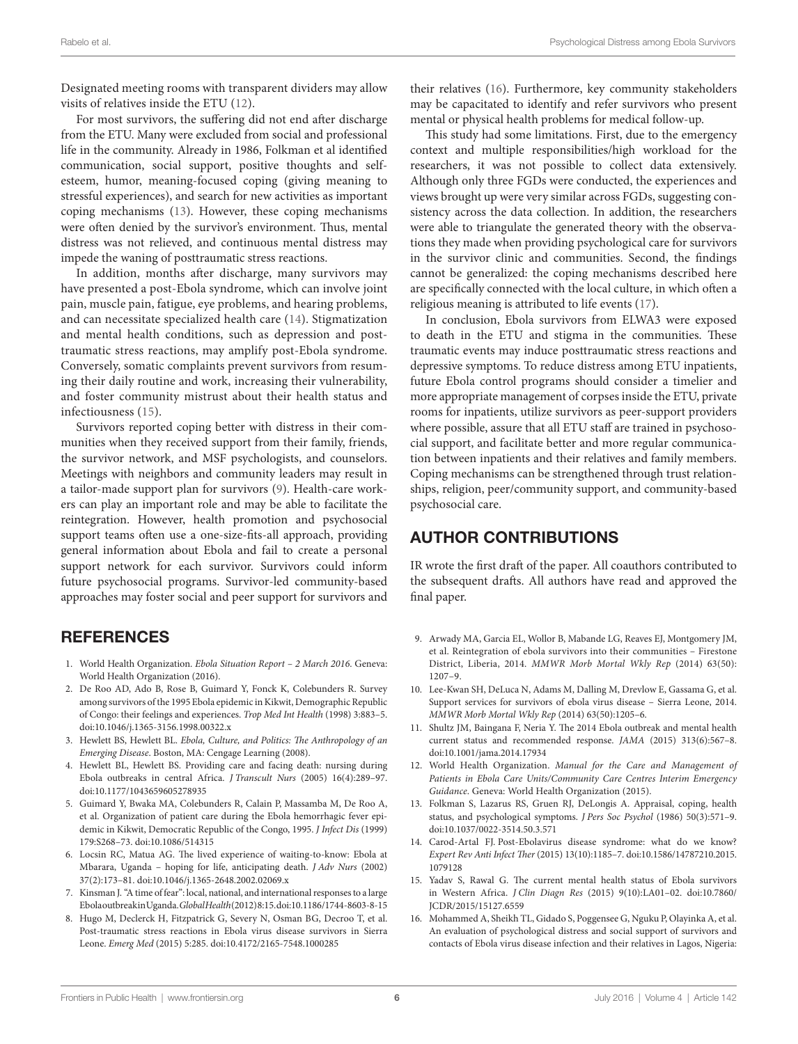Designated meeting rooms with transparent dividers may allow visits of relatives inside the ETU ([12\)](#page-5-7).

For most survivors, the suffering did not end after discharge from the ETU. Many were excluded from social and professional life in the community. Already in 1986, Folkman et al identified communication, social support, positive thoughts and selfesteem, humor, meaning-focused coping (giving meaning to stressful experiences), and search for new activities as important coping mechanisms ([13\)](#page-5-8). However, these coping mechanisms were often denied by the survivor's environment. Thus, mental distress was not relieved, and continuous mental distress may impede the waning of posttraumatic stress reactions.

In addition, months after discharge, many survivors may have presented a post-Ebola syndrome, which can involve joint pain, muscle pain, fatigue, eye problems, and hearing problems, and can necessitate specialized health care ([14\)](#page-5-9). Stigmatization and mental health conditions, such as depression and posttraumatic stress reactions, may amplify post-Ebola syndrome. Conversely, somatic complaints prevent survivors from resuming their daily routine and work, increasing their vulnerability, and foster community mistrust about their health status and infectiousness ([15](#page-5-10)).

Survivors reported coping better with distress in their communities when they received support from their family, friends, the survivor network, and MSF psychologists, and counselors. Meetings with neighbors and community leaders may result in a tailor-made support plan for survivors [\(9\)](#page-5-4). Health-care workers can play an important role and may be able to facilitate the reintegration. However, health promotion and psychosocial support teams often use a one-size-fits-all approach, providing general information about Ebola and fail to create a personal support network for each survivor. Survivors could inform future psychosocial programs. Survivor-led community-based approaches may foster social and peer support for survivors and

### **REFERENCES**

- <span id="page-5-0"></span>1. World Health Organization. *Ebola Situation Report – 2 March 2016*. Geneva: World Health Organization (2016).
- <span id="page-5-1"></span>2. De Roo AD, Ado B, Rose B, Guimard Y, Fonck K, Colebunders R. Survey among survivors of the 1995 Ebola epidemic in Kikwit, Demographic Republic of Congo: their feelings and experiences. *Trop Med Int Health* (1998) 3:883–5. doi:[10.1046/j.1365-3156.1998.00322.x](http://dx.doi.org/10.1046/j.1365-3156.1998.00322.x)
- 3. Hewlett BS, Hewlett BL. *Ebola, Culture, and Politics: The Anthropology of an Emerging Disease*. Boston, MA: Cengage Learning (2008).
- <span id="page-5-2"></span>4. Hewlett BL, Hewlett BS. Providing care and facing death: nursing during Ebola outbreaks in central Africa. *J Transcult Nurs* (2005) 16(4):289–97. doi:[10.1177/1043659605278935](http://dx.doi.org/10.1177/1043659605278935)
- 5. Guimard Y, Bwaka MA, Colebunders R, Calain P, Massamba M, De Roo A, et al. Organization of patient care during the Ebola hemorrhagic fever epidemic in Kikwit, Democratic Republic of the Congo, 1995. *J Infect Dis* (1999) 179:S268–73. doi[:10.1086/514315](http://dx.doi.org/10.1086/514315)
- 6. Locsin RC, Matua AG. The lived experience of waiting-to-know: Ebola at Mbarara, Uganda – hoping for life, anticipating death. *J Adv Nurs* (2002) 37(2):173–81. doi:[10.1046/j.1365-2648.2002.02069.x](http://dx.doi.org/10.1046/j.1365-2648.2002.02069.x)
- 7. Kinsman J. "A time of fear": local, national, and international responses to a large Ebola outbreak in Uganda. *Global Health* (2012) 8:15. doi[:10.1186/1744-8603-8-15](http://dx.doi.org/10.1186/1744-8603-8-15)
- <span id="page-5-3"></span>8. Hugo M, Declerck H, Fitzpatrick G, Severy N, Osman BG, Decroo T, et al. Post-traumatic stress reactions in Ebola virus disease survivors in Sierra Leone. *Emerg Med* (2015) 5:285. doi:[10.4172/2165-7548.1000285](http://dx.doi.org/10.4172/2165-7548.1000285)

their relatives ([16\)](#page-5-11). Furthermore, key community stakeholders may be capacitated to identify and refer survivors who present mental or physical health problems for medical follow-up.

This study had some limitations. First, due to the emergency context and multiple responsibilities/high workload for the researchers, it was not possible to collect data extensively. Although only three FGDs were conducted, the experiences and views brought up were very similar across FGDs, suggesting consistency across the data collection. In addition, the researchers were able to triangulate the generated theory with the observations they made when providing psychological care for survivors in the survivor clinic and communities. Second, the findings cannot be generalized: the coping mechanisms described here are specifically connected with the local culture, in which often a religious meaning is attributed to life events [\(17](#page-6-0)).

In conclusion, Ebola survivors from ELWA3 were exposed to death in the ETU and stigma in the communities. These traumatic events may induce posttraumatic stress reactions and depressive symptoms. To reduce distress among ETU inpatients, future Ebola control programs should consider a timelier and more appropriate management of corpses inside the ETU, private rooms for inpatients, utilize survivors as peer-support providers where possible, assure that all ETU staff are trained in psychosocial support, and facilitate better and more regular communication between inpatients and their relatives and family members. Coping mechanisms can be strengthened through trust relationships, religion, peer/community support, and community-based psychosocial care.

## AUTHOR CONTRIBUTIONS

IR wrote the first draft of the paper. All coauthors contributed to the subsequent drafts. All authors have read and approved the final paper.

- <span id="page-5-4"></span>9. Arwady MA, Garcia EL, Wollor B, Mabande LG, Reaves EJ, Montgomery JM, et al. Reintegration of ebola survivors into their communities – Firestone District, Liberia, 2014. *MMWR Morb Mortal Wkly Rep* (2014) 63(50): 1207–9.
- <span id="page-5-5"></span>10. Lee-Kwan SH, DeLuca N, Adams M, Dalling M, Drevlow E, Gassama G, et al. Support services for survivors of ebola virus disease – Sierra Leone, 2014. *MMWR Morb Mortal Wkly Rep* (2014) 63(50):1205–6.
- <span id="page-5-6"></span>11. Shultz JM, Baingana F, Neria Y. The 2014 Ebola outbreak and mental health current status and recommended response. *JAMA* (2015) 313(6):567–8. doi:[10.1001/jama.2014.17934](http://dx.doi.org/10.1001/jama.2014.17934)
- <span id="page-5-7"></span>12. World Health Organization. *Manual for the Care and Management of Patients in Ebola Care Units/Community Care Centres Interim Emergency Guidance*. Geneva: World Health Organization (2015).
- <span id="page-5-8"></span>13. Folkman S, Lazarus RS, Gruen RJ, DeLongis A. Appraisal, coping, health status, and psychological symptoms. *J Pers Soc Psychol* (1986) 50(3):571–9. doi:[10.1037/0022-3514.50.3.571](http://dx.doi.org/10.1037/0022-3514.50.3.571)
- <span id="page-5-9"></span>14. Carod-Artal FJ. Post-Ebolavirus disease syndrome: what do we know? *Expert Rev Anti Infect Ther* (2015) 13(10):1185–7. doi:[10.1586/14787210.2015.](http://dx.doi.org/10.1586/14787210.2015.1079128) [1079128](http://dx.doi.org/10.1586/14787210.2015.1079128)
- <span id="page-5-10"></span>15. Yadav S, Rawal G. The current mental health status of Ebola survivors in Western Africa. *J Clin Diagn Res* (2015) 9(10):LA01–02. doi[:10.7860/](http://dx.doi.org/10.7860/JCDR/2015/15127.6559) [JCDR/2015/15127.6559](http://dx.doi.org/10.7860/JCDR/2015/15127.6559)
- <span id="page-5-11"></span>16. Mohammed A, Sheikh TL, Gidado S, Poggensee G, Nguku P, Olayinka A, et al. An evaluation of psychological distress and social support of survivors and contacts of Ebola virus disease infection and their relatives in Lagos, Nigeria: